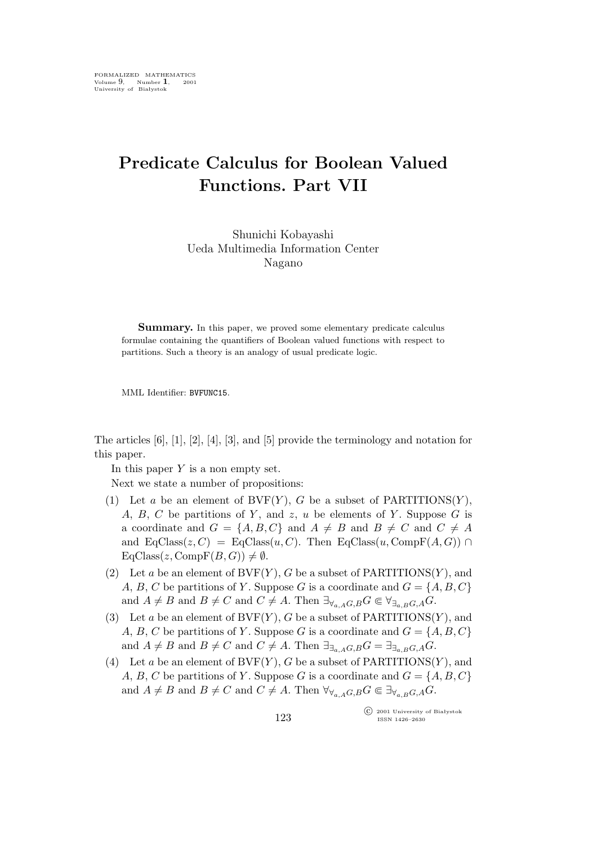## **Predicate Calculus for Boolean Valued Functions. Part VII**

Shunichi Kobayashi Ueda Multimedia Information Center Nagano

**Summary.** In this paper, we proved some elementary predicate calculus formulae containing the quantifiers of Boolean valued functions with respect to partitions. Such a theory is an analogy of usual predicate logic.

MML Identifier: BVFUNC15.

The articles [6], [1], [2], [4], [3], and [5] provide the terminology and notation for this paper.

In this paper  $Y$  is a non empty set.

Next we state a number of propositions:

- (1) Let a be an element of  $BVF(Y)$ , G be a subset of PARTITIONS $(Y)$ , A, B, C be partitions of Y, and z, u be elements of Y. Suppose  $G$  is a coordinate and  $G = \{A, B, C\}$  and  $A \neq B$  and  $B \neq C$  and  $C \neq A$ and  $EqClass(z, C) = EqClass(u, C)$ . Then  $EqClass(u, CompF(A, G)) \cap$  $EqClass(z, CompF(B, G)) \neq \emptyset.$
- (2) Let a be an element of  $BVF(Y)$ , G be a subset of PARTITIONS(Y), and A, B, C be partitions of Y. Suppose G is a coordinate and  $G = \{A, B, C\}$ and  $A \neq B$  and  $B \neq C$  and  $C \neq A$ . Then  $\exists_{\forall_{a,A}G,B} G \in \forall_{\exists_{a,B}G,A} G$ .
- (3) Let a be an element of  $BVF(Y)$ , G be a subset of PARTITIONS(Y), and A, B, C be partitions of Y. Suppose G is a coordinate and  $G = \{A, B, C\}$ and  $A \neq B$  and  $B \neq C$  and  $C \neq A$ . Then  $\exists_{\exists_{a} A} G, B G = \exists_{\exists_{a} B} G, A G$ .
- (4) Let a be an element of  $BVF(Y)$ , G be a subset of PARTITIONS(Y), and A, B, C be partitions of Y. Suppose G is a coordinate and  $G = \{A, B, C\}$ and  $A \neq B$  and  $B \neq C$  and  $C \neq A$ . Then  $\forall \forall_{a,A}G,BG \in \exists \forall_{a,B}G,AG$ .

°c 2001 University of Białystok ISSN 1426–2630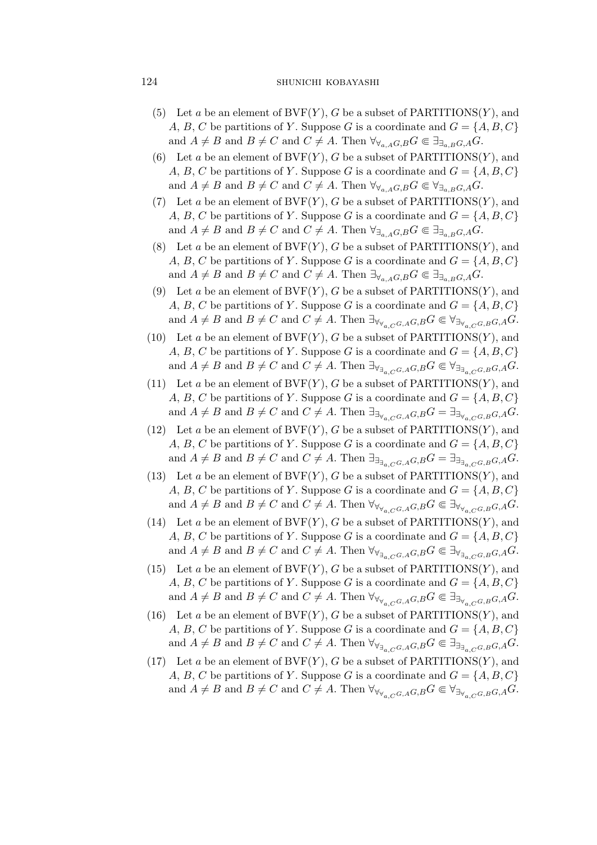## 124 SHUNICHI KOBAYASHI

- (5) Let a be an element of  $BVF(Y)$ , G be a subset of PARTITIONS $(Y)$ , and A, B, C be partitions of Y. Suppose G is a coordinate and  $G = \{A, B, C\}$ and  $A \neq B$  and  $B \neq C$  and  $C \neq A$ . Then  $\forall \forall a, A, G, B$   $\in \exists \exists a, B, G, A$ .
- (6) Let a be an element of  $BVF(Y)$ , G be a subset of PARTITIONS(Y), and A, B, C be partitions of Y. Suppose G is a coordinate and  $G = \{A, B, C\}$ and  $A \neq B$  and  $B \neq C$  and  $C \neq A$ . Then  $\forall_{\forall_{a} A} G, B G \in \forall_{\exists_{a} B} G, A G$ .
- (7) Let a be an element of  $BVF(Y)$ , G be a subset of PARTITIONS(Y), and A, B, C be partitions of Y. Suppose G is a coordinate and  $G = \{A, B, C\}$ and  $A \neq B$  and  $B \neq C$  and  $C \neq A$ . Then  $\forall_{\exists_{a,A}G,B} G \in \exists_{\exists_{a,B}G,A} G$ .
- (8) Let a be an element of  $BVF(Y)$ , G be a subset of PARTITIONS(Y), and A, B, C be partitions of Y. Suppose G is a coordinate and  $G = \{A, B, C\}$ and  $A \neq B$  and  $B \neq C$  and  $C \neq A$ . Then  $\exists_{\forall_{a,A}G,B} G \in \exists_{\exists_{a,B}G,A} G$ .
- (9) Let a be an element of  $BVF(Y)$ , G be a subset of PARTITIONS(Y), and A, B, C be partitions of Y. Suppose G is a coordinate and  $G = \{A, B, C\}$ and  $A \neq B$  and  $B \neq C$  and  $C \neq A$ . Then  $\exists_{\forall_{\forall_{\alpha} \in G, A}G, B}G \in \forall_{\exists_{\forall_{\alpha} \in G, B}G, A}G$ .
- (10) Let a be an element of  $BVF(Y)$ , G be a subset of PARTITIONS(Y), and A, B, C be partitions of Y. Suppose G is a coordinate and  $G = \{A, B, C\}$ and  $A \neq B$  and  $B \neq C$  and  $C \neq A$ . Then  $\exists_{\forall_{\exists_{\alpha} \in G, A}} G, B} G \in \forall_{\exists_{\exists_{\alpha} \in G, B}} G, A} G$ .
- (11) Let a be an element of  $BVF(Y)$ , G be a subset of PARTITIONS(Y), and A, B, C be partitions of Y. Suppose G is a coordinate and  $G = \{A, B, C\}$ and  $A \neq B$  and  $B \neq C$  and  $C \neq A$ . Then  $\exists_{\exists_{\forall_{a},C}G,A}G,B}=\exists_{\exists_{\forall_{a},C}G,B}G,A}G$ .
- (12) Let a be an element of  $BVF(Y)$ , G be a subset of PARTITIONS $(Y)$ , and A, B, C be partitions of Y. Suppose G is a coordinate and  $G = \{A, B, C\}$ and  $A \neq B$  and  $B \neq C$  and  $C \neq A$ . Then  $\exists_{\exists_{\exists_{C}} \subset G, A} G, B} G = \exists_{\exists_{\exists_{C}} \subset G, B} G, A} G$ .
- (13) Let a be an element of  $BVF(Y)$ , G be a subset of PARTITIONS(Y), and A, B, C be partitions of Y. Suppose G is a coordinate and  $G = \{A, B, C\}$ and  $A \neq B$  and  $B \neq C$  and  $C \neq A$ . Then  $\forall_{\forall_{\forall_{\alpha} C} G, A} G, B} G \in \exists_{\forall_{\forall_{\alpha} C} G, B} G, A} G$ .
- (14) Let a be an element of  $BVF(Y)$ , G be a subset of PARTITIONS(Y), and A, B, C be partitions of Y. Suppose G is a coordinate and  $G = \{A, B, C\}$ and  $A \neq B$  and  $B \neq C$  and  $C \neq A$ . Then  $\forall_{\forall_{\exists_{\alpha} C, G, A}} G, B} G \in \exists_{\forall_{\exists_{\alpha} C, G, B}} G, A} G$ .
- (15) Let a be an element of  $BVF(Y)$ , G be a subset of PARTITIONS $(Y)$ , and A, B, C be partitions of Y. Suppose G is a coordinate and  $G = \{A, B, C\}$ and  $A \neq B$  and  $B \neq C$  and  $C \neq A$ . Then  $\forall_{\forall_{\forall_{\alpha} \in G, A}G, B} G \in \exists_{\exists_{\forall_{\alpha} \in G, B}G, A} G$ .
- (16) Let a be an element of  $BVF(Y)$ , G be a subset of PARTITIONS $(Y)$ , and A, B, C be partitions of Y. Suppose G is a coordinate and  $G = \{A, B, C\}$ and  $A \neq B$  and  $B \neq C$  and  $C \neq A$ . Then  $\forall_{\forall_{\exists_{\alpha} \in G, A}} G, B} G \in \exists_{\exists_{\exists_{\alpha} \in G, B}} G, A} G$ .
- (17) Let a be an element of  $BVF(Y)$ , G be a subset of PARTITIONS $(Y)$ , and A, B, C be partitions of Y. Suppose G is a coordinate and  $G = \{A, B, C\}$ and  $A \neq B$  and  $B \neq C$  and  $C \neq A$ . Then  $\forall_{\forall_{Y_{\alpha},C}G,G,B}G \in \forall_{\exists_{\forall_{\alpha},C}G,B}G,AG$ .